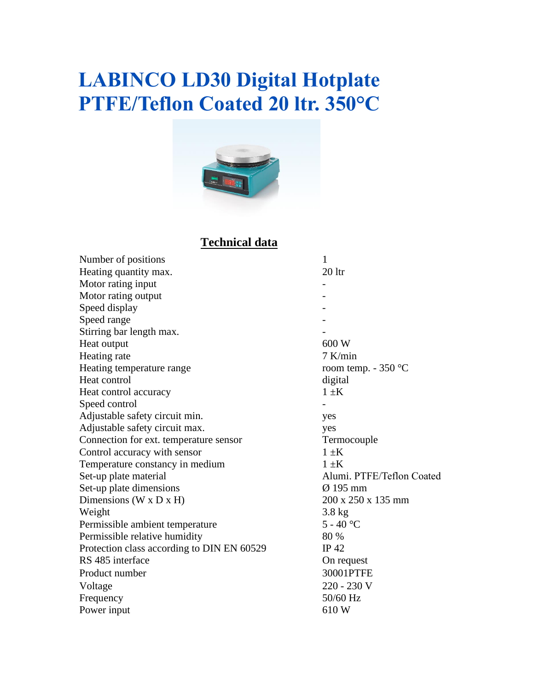# **LABINCO LD30 Digital Hotplate PTFE/Teflon Coated 20 ltr. 350°C**



### **Technical data**

| Number of positions                        | 1                            |
|--------------------------------------------|------------------------------|
| Heating quantity max.                      | 20 ltr                       |
| Motor rating input                         |                              |
| Motor rating output                        |                              |
| Speed display                              |                              |
| Speed range                                |                              |
| Stirring bar length max.                   |                              |
| Heat output                                | 600 W                        |
| Heating rate                               | $7$ K/min                    |
| Heating temperature range                  | room temp. - $350^{\circ}$ C |
| Heat control                               | digital                      |
| Heat control accuracy                      | $1 \pm K$                    |
| Speed control                              |                              |
| Adjustable safety circuit min.             | yes                          |
| Adjustable safety circuit max.             | yes                          |
| Connection for ext. temperature sensor     | Termocouple                  |
| Control accuracy with sensor               | $1 \pm K$                    |
| Temperature constancy in medium            | $1 \pm K$                    |
| Set-up plate material                      | Alumi. PTFE/Teflon Coated    |
| Set-up plate dimensions                    | $\varnothing$ 195 mm         |
| Dimensions ( $W \times D \times H$ )       | 200 x 250 x 135 mm           |
| Weight                                     | $3.8$ kg                     |
| Permissible ambient temperature            | $5 - 40$ °C                  |
| Permissible relative humidity              | 80 %                         |
| Protection class according to DIN EN 60529 | IP $42$                      |
| RS 485 interface                           | On request                   |
| Product number                             | 30001PTFE                    |
| Voltage                                    | 220 - 230 V                  |
| Frequency                                  | 50/60 Hz                     |
| Power input                                | 610W                         |
|                                            |                              |